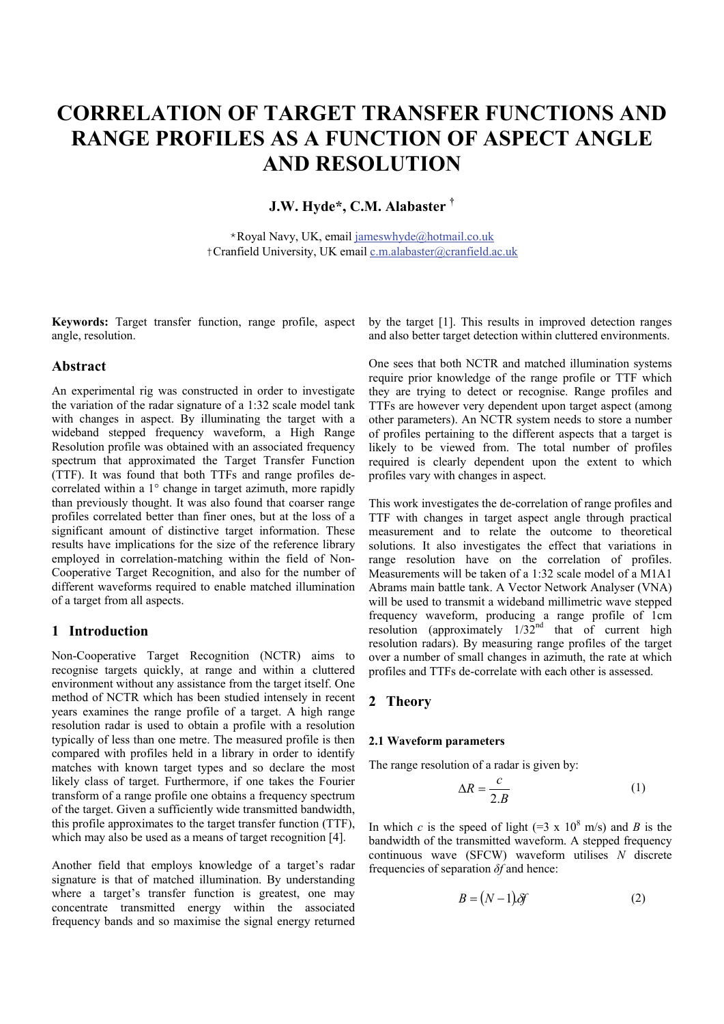# **CORRELATION OF TARGET TRANSFER FUNCTIONS AND RANGE PROFILES AS A FUNCTION OF ASPECT ANGLE AND RESOLUTION**

# **J.W. Hyde\*, C.M. Alabaster †**

\*Royal Navy, UK, email jameswhyde@hotmail.co.uk †Cranfield University, UK email c.m.alabaster@cranfield.ac.uk

angle, resolution.

# **Abstract**

An experimental rig was constructed in order to investigate the variation of the radar signature of a 1:32 scale model tank with changes in aspect. By illuminating the target with a wideband stepped frequency waveform, a High Range Resolution profile was obtained with an associated frequency spectrum that approximated the Target Transfer Function (TTF). It was found that both TTFs and range profiles decorrelated within a 1° change in target azimuth, more rapidly than previously thought. It was also found that coarser range profiles correlated better than finer ones, but at the loss of a significant amount of distinctive target information. These results have implications for the size of the reference library employed in correlation-matching within the field of Non-Cooperative Target Recognition, and also for the number of different waveforms required to enable matched illumination of a target from all aspects.

# **1 Introduction**

Non-Cooperative Target Recognition (NCTR) aims to recognise targets quickly, at range and within a cluttered environment without any assistance from the target itself. One method of NCTR which has been studied intensely in recent years examines the range profile of a target. A high range resolution radar is used to obtain a profile with a resolution typically of less than one metre. The measured profile is then compared with profiles held in a library in order to identify matches with known target types and so declare the most likely class of target. Furthermore, if one takes the Fourier transform of a range profile one obtains a frequency spectrum of the target. Given a sufficiently wide transmitted bandwidth, this profile approximates to the target transfer function (TTF), which may also be used as a means of target recognition [4].

Another field that employs knowledge of a target's radar signature is that of matched illumination. By understanding where a target's transfer function is greatest, one may concentrate transmitted energy within the associated frequency bands and so maximise the signal energy returned

**Keywords:** Target transfer function, range profile, aspect by the target [1]. This results in improved detection ranges and also better target detection within cluttered environments.

> One sees that both NCTR and matched illumination systems require prior knowledge of the range profile or TTF which they are trying to detect or recognise. Range profiles and TTFs are however very dependent upon target aspect (among other parameters). An NCTR system needs to store a number of profiles pertaining to the different aspects that a target is likely to be viewed from. The total number of profiles required is clearly dependent upon the extent to which profiles vary with changes in aspect.

> This work investigates the de-correlation of range profiles and TTF with changes in target aspect angle through practical measurement and to relate the outcome to theoretical solutions. It also investigates the effect that variations in range resolution have on the correlation of profiles. Measurements will be taken of a 1:32 scale model of a M1A1 Abrams main battle tank. A Vector Network Analyser (VNA) will be used to transmit a wideband millimetric wave stepped frequency waveform, producing a range profile of 1cm resolution (approximately  $1/32^{nd}$  that of current high resolution radars). By measuring range profiles of the target over a number of small changes in azimuth, the rate at which profiles and TTFs de-correlate with each other is assessed.

# **2 Theory**

#### **2.1 Waveform parameters**

The range resolution of a radar is given by:

$$
\Delta R = \frac{c}{2.B} \tag{1}
$$

In which *c* is the speed of light  $(=3 \times 10^8 \text{ m/s})$  and *B* is the bandwidth of the transmitted waveform. A stepped frequency continuous wave (SFCW) waveform utilises *N* discrete frequencies of separation *δf* and hence:

$$
B = (N-1)\delta f \tag{2}
$$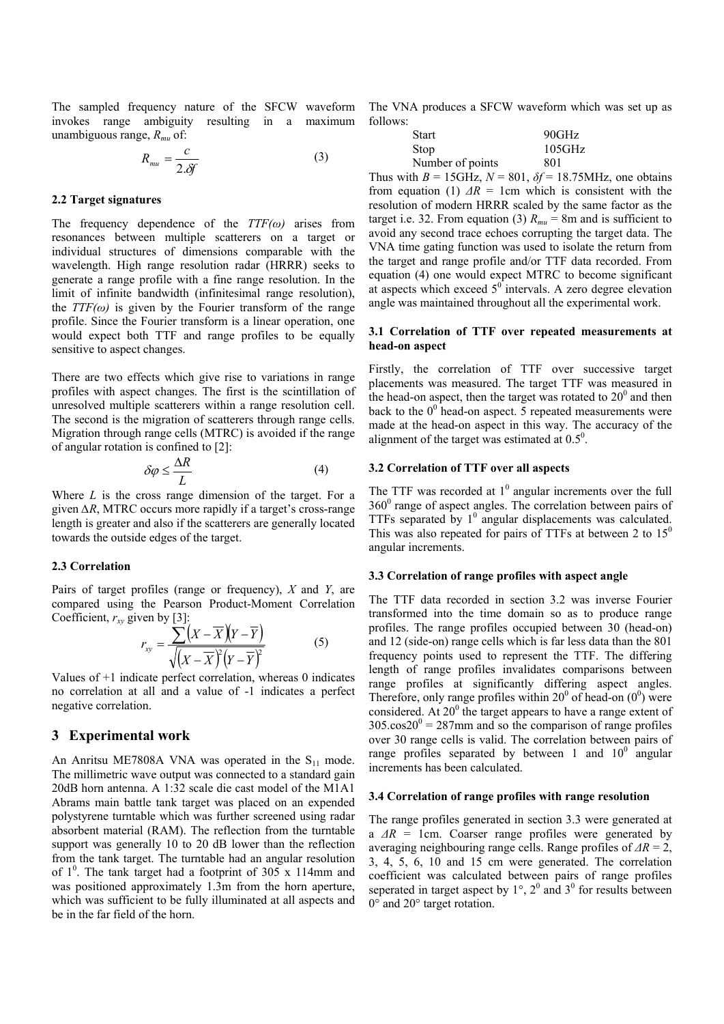The sampled frequency nature of the SFCW waveform invokes range ambiguity resulting in a maximum unambiguous range, *Rmu* of:

$$
R_{mu} = \frac{c}{2.8f}
$$
 (3)

#### **2.2 Target signatures**

The frequency dependence of the *TTF(ω)* arises from resonances between multiple scatterers on a target or individual structures of dimensions comparable with the wavelength. High range resolution radar (HRRR) seeks to generate a range profile with a fine range resolution. In the limit of infinite bandwidth (infinitesimal range resolution), the  $TTF(\omega)$  is given by the Fourier transform of the range profile. Since the Fourier transform is a linear operation, one would expect both TTF and range profiles to be equally sensitive to aspect changes.

There are two effects which give rise to variations in range profiles with aspect changes. The first is the scintillation of unresolved multiple scatterers within a range resolution cell. The second is the migration of scatterers through range cells. Migration through range cells (MTRC) is avoided if the range of angular rotation is confined to [2]:

$$
\delta \varphi \le \frac{\Delta R}{L} \tag{4}
$$

Where *L* is the cross range dimension of the target. For a given *∆R*, MTRC occurs more rapidly if a target's cross-range length is greater and also if the scatterers are generally located towards the outside edges of the target.

#### **2.3 Correlation**

Pairs of target profiles (range or frequency), *X* and *Y*, are compared using the Pearson Product-Moment Correlation Coefficient,  $r_{xy}$  given by [3]:

$$
r_{xy} = \frac{\sum (X - \overline{X})(Y - \overline{Y})}{\sqrt{(X - \overline{X})^2 (Y - \overline{Y})^2}}
$$
(5)

Values of +1 indicate perfect correlation, whereas 0 indicates no correlation at all and a value of -1 indicates a perfect negative correlation.

#### **3 Experimental work**

An Anritsu ME7808A VNA was operated in the  $S_{11}$  mode. The millimetric wave output was connected to a standard gain 20dB horn antenna. A 1:32 scale die cast model of the M1A1 Abrams main battle tank target was placed on an expended polystyrene turntable which was further screened using radar absorbent material (RAM). The reflection from the turntable support was generally 10 to 20 dB lower than the reflection from the tank target. The turntable had an angular resolution of  $1^0$ . The tank target had a footprint of 305 x 114mm and was positioned approximately 1.3m from the horn aperture, which was sufficient to be fully illuminated at all aspects and be in the far field of the horn.

The VNA produces a SFCW waveform which was set up as follows:

| <b>Start</b>     | 90GHz  |
|------------------|--------|
| <b>Stop</b>      | 105GHz |
| Number of points | 801    |

Thus with  $B = 15$ GHz,  $N = 801$ ,  $\delta f = 18.75$ MHz, one obtains from equation (1)  $\Delta R = 1$ cm which is consistent with the resolution of modern HRRR scaled by the same factor as the target i.e. 32. From equation (3)  $R_{mu} = 8$ m and is sufficient to avoid any second trace echoes corrupting the target data. The VNA time gating function was used to isolate the return from the target and range profile and/or TTF data recorded. From equation (4) one would expect MTRC to become significant at aspects which exceed  $5^\circ$  intervals. A zero degree elevation angle was maintained throughout all the experimental work.

#### **3.1 Correlation of TTF over repeated measurements at head-on aspect**

Firstly, the correlation of TTF over successive target placements was measured. The target TTF was measured in the head-on aspect, then the target was rotated to  $20^{\circ}$  and then back to the  $0^0$  head-on aspect. 5 repeated measurements were made at the head-on aspect in this way. The accuracy of the alignment of the target was estimated at  $0.5^0$ .

#### **3.2 Correlation of TTF over all aspects**

The TTF was recorded at  $1^0$  angular increments over the full 360<sup>0</sup> range of aspect angles. The correlation between pairs of TTFs separated by  $1^0$  angular displacements was calculated. This was also repeated for pairs of TTFs at between 2 to  $15<sup>0</sup>$ angular increments.

#### **3.3 Correlation of range profiles with aspect angle**

The TTF data recorded in section 3.2 was inverse Fourier transformed into the time domain so as to produce range profiles. The range profiles occupied between 30 (head-on) and 12 (side-on) range cells which is far less data than the 801 frequency points used to represent the TTF. The differing length of range profiles invalidates comparisons between range profiles at significantly differing aspect angles. Therefore, only range profiles within  $20^0$  of head-on  $(0^0)$  were considered. At  $20^{\circ}$  the target appears to have a range extent of  $305.\cos 20^\circ = 287$ mm and so the comparison of range profiles over 30 range cells is valid. The correlation between pairs of range profiles separated by between 1 and  $10^0$  angular increments has been calculated.

## **3.4 Correlation of range profiles with range resolution**

The range profiles generated in section 3.3 were generated at a *ΔR* = 1cm. Coarser range profiles were generated by averaging neighbouring range cells. Range profiles of *ΔR* = 2, 3, 4, 5, 6, 10 and 15 cm were generated. The correlation coefficient was calculated between pairs of range profiles seperated in target aspect by  $1^\circ$ ,  $2^0$  and  $3^0$  for results between 0° and 20° target rotation.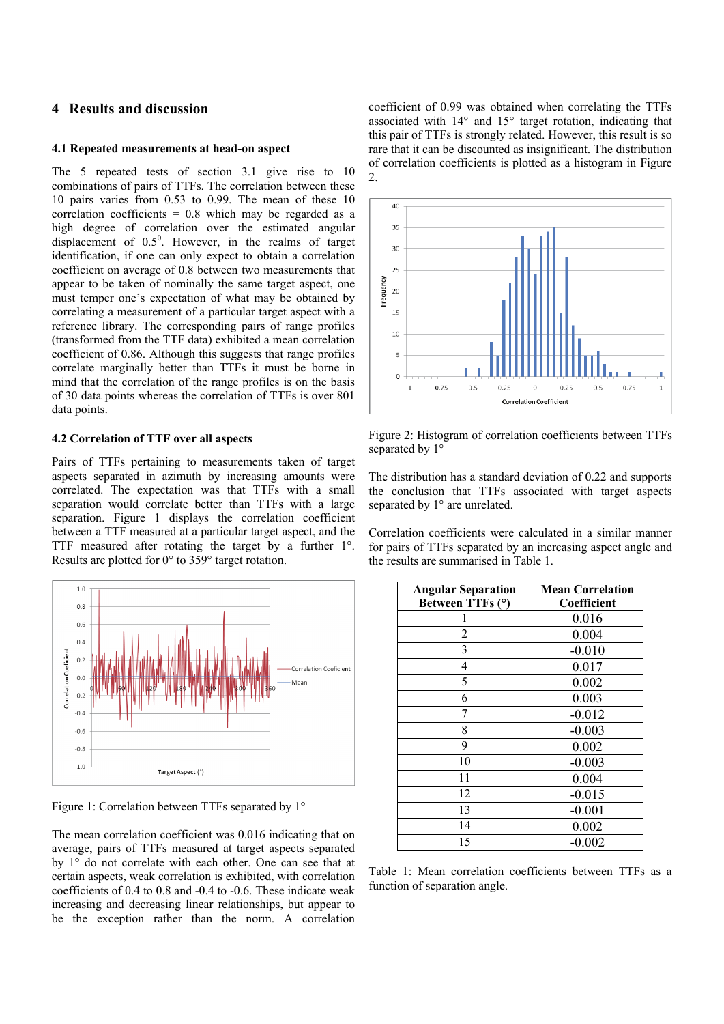# **4 Results and discussion**

#### **4.1 Repeated measurements at head-on aspect**

The 5 repeated tests of section 3.1 give rise to 10 combinations of pairs of TTFs. The correlation between these 10 pairs varies from 0.53 to 0.99. The mean of these 10 correlation coefficients = 0.8 which may be regarded as a high degree of correlation over the estimated angular displacement of  $0.5^0$ . However, in the realms of target identification, if one can only expect to obtain a correlation coefficient on average of 0.8 between two measurements that appear to be taken of nominally the same target aspect, one must temper one's expectation of what may be obtained by correlating a measurement of a particular target aspect with a reference library. The corresponding pairs of range profiles (transformed from the TTF data) exhibited a mean correlation coefficient of 0.86. Although this suggests that range profiles correlate marginally better than TTFs it must be borne in mind that the correlation of the range profiles is on the basis of 30 data points whereas the correlation of TTFs is over 801 data points.

## **4.2 Correlation of TTF over all aspects**

Pairs of TTFs pertaining to measurements taken of target aspects separated in azimuth by increasing amounts were correlated. The expectation was that TTFs with a small separation would correlate better than TTFs with a large separation. Figure 1 displays the correlation coefficient between a TTF measured at a particular target aspect, and the TTF measured after rotating the target by a further 1°. Results are plotted for 0° to 359° target rotation.



Figure 1: Correlation between TTFs separated by 1°

The mean correlation coefficient was 0.016 indicating that on average, pairs of TTFs measured at target aspects separated by 1° do not correlate with each other. One can see that at certain aspects, weak correlation is exhibited, with correlation coefficients of 0.4 to 0.8 and -0.4 to -0.6. These indicate weak increasing and decreasing linear relationships, but appear to be the exception rather than the norm. A correlation

coefficient of 0.99 was obtained when correlating the TTFs associated with 14° and 15° target rotation, indicating that this pair of TTFs is strongly related. However, this result is so rare that it can be discounted as insignificant. The distribution of correlation coefficients is plotted as a histogram in Figure 2.



Figure 2: Histogram of correlation coefficients between TTFs separated by  $1^{\circ}$ 

The distribution has a standard deviation of 0.22 and supports the conclusion that TTFs associated with target aspects separated by  $1^{\circ}$  are unrelated.

Correlation coefficients were calculated in a similar manner for pairs of TTFs separated by an increasing aspect angle and the results are summarised in Table 1.

| <b>Angular Separation</b> | <b>Mean Correlation</b> |
|---------------------------|-------------------------|
| Between TTFs (°)          | Coefficient             |
|                           | 0.016                   |
| 2                         | 0.004                   |
| 3                         | $-0.010$                |
| 4                         | 0.017                   |
| 5                         | 0.002                   |
| 6                         | 0.003                   |
|                           | $-0.012$                |
| 8                         | $-0.003$                |
| 9                         | 0.002                   |
| 10                        | $-0.003$                |
| 11                        | 0.004                   |
| 12                        | $-0.015$                |
| 13                        | $-0.001$                |
| 14                        | 0.002                   |
| 15                        | $-0.002$                |

Table 1: Mean correlation coefficients between TTFs as a function of separation angle.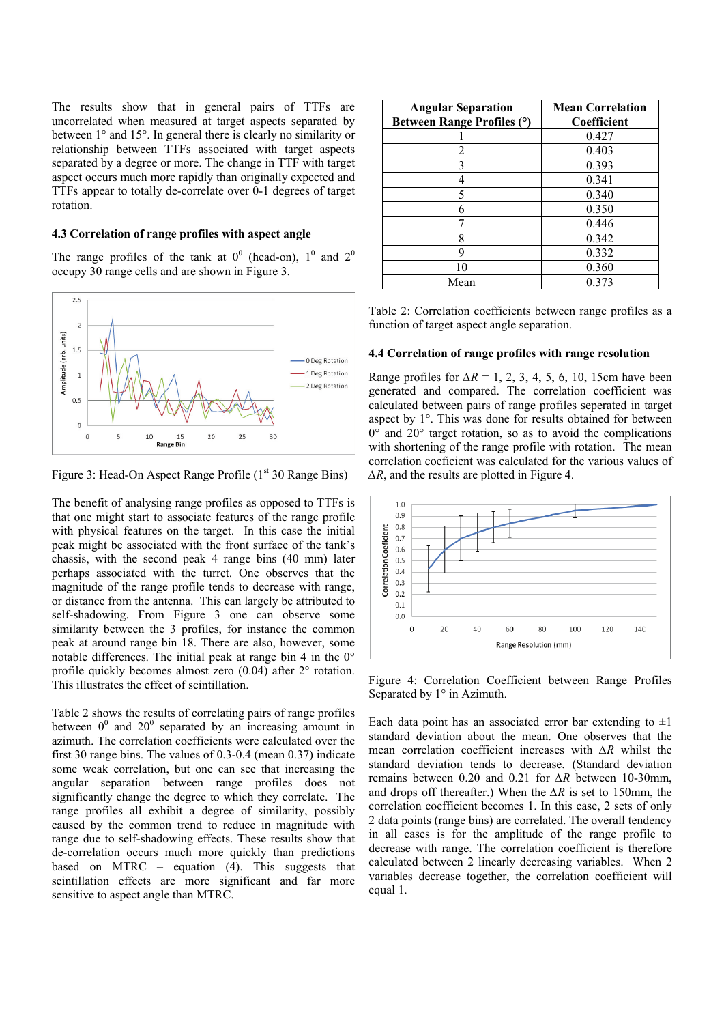The results show that in general pairs of TTFs are uncorrelated when measured at target aspects separated by between 1° and 15°. In general there is clearly no similarity or relationship between TTFs associated with target aspects separated by a degree or more. The change in TTF with target aspect occurs much more rapidly than originally expected and TTFs appear to totally de-correlate over 0-1 degrees of target rotation.

## **4.3 Correlation of range profiles with aspect angle**

The range profiles of the tank at  $0^0$  (head-on),  $1^0$  and  $2^0$ occupy 30 range cells and are shown in Figure 3.



Figure 3: Head-On Aspect Range Profile (1<sup>st</sup> 30 Range Bins)

The benefit of analysing range profiles as opposed to TTFs is that one might start to associate features of the range profile with physical features on the target. In this case the initial peak might be associated with the front surface of the tank's chassis, with the second peak 4 range bins (40 mm) later perhaps associated with the turret. One observes that the magnitude of the range profile tends to decrease with range, or distance from the antenna. This can largely be attributed to self-shadowing. From Figure 3 one can observe some similarity between the 3 profiles, for instance the common peak at around range bin 18. There are also, however, some notable differences. The initial peak at range bin 4 in the 0° profile quickly becomes almost zero (0.04) after 2° rotation. This illustrates the effect of scintillation.

Table 2 shows the results of correlating pairs of range profiles between  $0^0$  and  $20^0$  separated by an increasing amount in azimuth. The correlation coefficients were calculated over the first 30 range bins. The values of 0.3-0.4 (mean 0.37) indicate some weak correlation, but one can see that increasing the angular separation between range profiles does not significantly change the degree to which they correlate. The range profiles all exhibit a degree of similarity, possibly caused by the common trend to reduce in magnitude with range due to self-shadowing effects. These results show that de-correlation occurs much more quickly than predictions based on MTRC – equation (4). This suggests that scintillation effects are more significant and far more sensitive to aspect angle than MTRC.

| <b>Angular Separation</b><br>Between Range Profiles (°) | <b>Mean Correlation</b><br>Coefficient |
|---------------------------------------------------------|----------------------------------------|
|                                                         | 0.427                                  |
| 2                                                       | 0.403                                  |
| 3                                                       | 0.393                                  |
| 4                                                       | 0.341                                  |
| 5                                                       | 0.340                                  |
| 6                                                       | 0.350                                  |
|                                                         | 0.446                                  |
| 8                                                       | 0.342                                  |
| 9                                                       | 0.332                                  |
| 10                                                      | 0.360                                  |
| Mean                                                    | 0.373                                  |

Table 2: Correlation coefficients between range profiles as a function of target aspect angle separation.

## **4.4 Correlation of range profiles with range resolution**

Range profiles for *∆R* = 1, 2, 3, 4, 5, 6, 10, 15cm have been generated and compared. The correlation coefficient was calculated between pairs of range profiles seperated in target aspect by 1°. This was done for results obtained for between  $0^{\circ}$  and  $20^{\circ}$  target rotation, so as to avoid the complications with shortening of the range profile with rotation. The mean correlation coeficient was calculated for the various values of *∆R*, and the results are plotted in Figure 4.



Figure 4: Correlation Coefficient between Range Profiles Separated by 1° in Azimuth.

Each data point has an associated error bar extending to  $\pm 1$ standard deviation about the mean. One observes that the mean correlation coefficient increases with *∆R* whilst the standard deviation tends to decrease. (Standard deviation remains between 0.20 and 0.21 for *∆R* between 10-30mm, and drops off thereafter.) When the *∆R* is set to 150mm, the correlation coefficient becomes 1. In this case, 2 sets of only 2 data points (range bins) are correlated. The overall tendency in all cases is for the amplitude of the range profile to decrease with range. The correlation coefficient is therefore calculated between 2 linearly decreasing variables. When 2 variables decrease together, the correlation coefficient will equal 1.